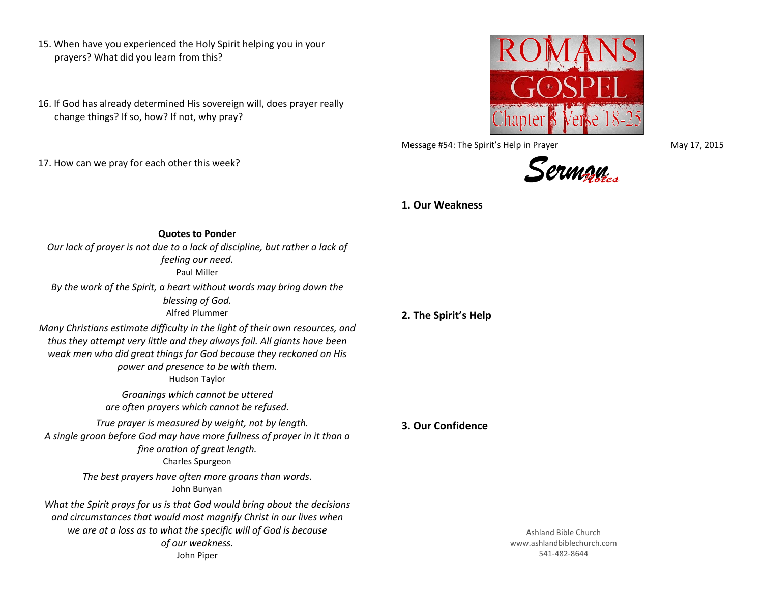- 15. When have you experienced the Holy Spirit helping you in your prayers? What did you learn from this?
- 16. If God has already determined His sovereign will, does prayer really change things? If so, how? If not, why pray?
- 17. How can we pray for each other this week?



Message #54: The Spirit's Help in Prayer May 17, 2015



## **1. Our Weakness**

**Quotes to Ponder** *Our lack of prayer is not due to a lack of discipline, but rather a lack of feeling our need.* Paul Miller

*By the work of the Spirit, a heart without words may bring down the blessing of God.* Alfred Plummer

*Many Christians estimate difficulty in the light of their own resources, and thus they attempt very little and they always fail. All giants have been weak men who did great things for God because they reckoned on His power and presence to be with them.* Hudson Taylor *Groanings which cannot be uttered are often prayers which cannot be refused. True prayer is measured by weight, not by length. A single groan before God may have more fullness of prayer in it than a fine oration of great length.* Charles Spurgeon *The best prayers have often more groans than words*. John Bunyan *What the Spirit prays for us is that God would bring about the decisions and circumstances that would most magnify Christ in our lives when we are at a loss as to what the specific will of God is because of our weakness.* John Piper

## **2. The Spirit's Help**

## **3. Our Confidence**

Ashland Bible Church www.ashlandbiblechurch.com 541-482-8644